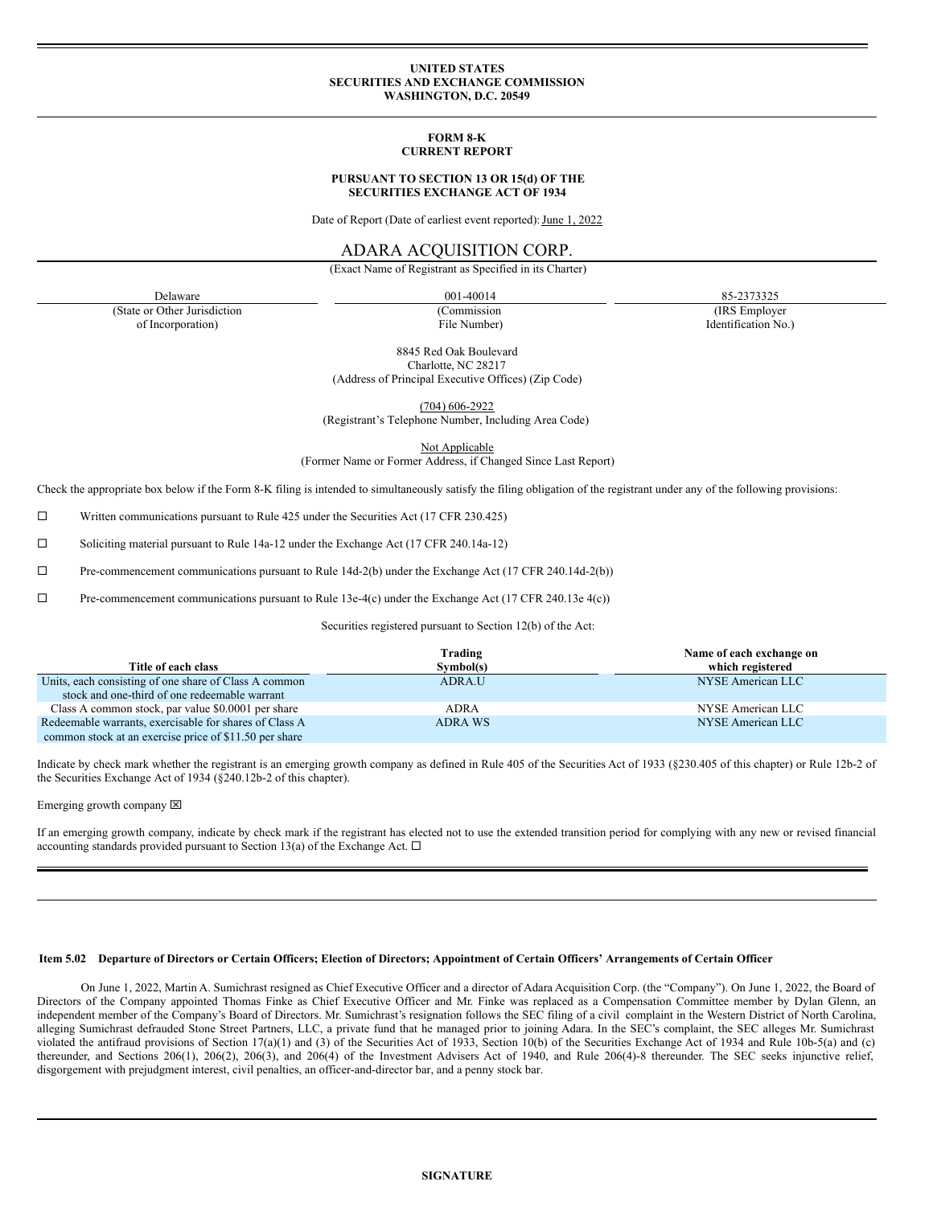## **UNITED STATES SECURITIES AND EXCHANGE COMMISSION WASHINGTON, D.C. 20549**

## **FORM 8-K CURRENT REPORT**

#### **PURSUANT TO SECTION 13 OR 15(d) OF THE SECURITIES EXCHANGE ACT OF 1934**

Date of Report (Date of earliest event reported): June 1, 2022

# ADARA ACQUISITION CORP.

(Exact Name of Registrant as Specified in its Charter)

(State or Other Jurisdiction of Incorporation)

(Commission File Number)

Delaware 85-2373325 85-2373325

(IRS Employer Identification No.)

8845 Red Oak Boulevard Charlotte, NC 28217 (Address of Principal Executive Offices) (Zip Code)

(704) 606-2922 (Registrant's Telephone Number, Including Area Code)

Not Applicable

(Former Name or Former Address, if Changed Since Last Report)

Check the appropriate box below if the Form 8-K filing is intended to simultaneously satisfy the filing obligation of the registrant under any of the following provisions:

 $\square$  Written communications pursuant to Rule 425 under the Securities Act (17 CFR 230.425)

¨ Soliciting material pursuant to Rule 14a-12 under the Exchange Act (17 CFR 240.14a-12)

 $\Box$  Pre-commencement communications pursuant to Rule 14d-2(b) under the Exchange Act (17 CFR 240.14d-2(b))

 $\Box$  Pre-commencement communications pursuant to Rule 13e-4(c) under the Exchange Act (17 CFR 240.13e 4(c))

Securities registered pursuant to Section 12(b) of the Act:

|                                                        | Trading     | Name of each exchange on |
|--------------------------------------------------------|-------------|--------------------------|
| Title of each class                                    | Symbol(s)   | which registered         |
| Units, each consisting of one share of Class A common  | ADRA.U      | NYSE American LLC        |
| stock and one-third of one redeemable warrant          |             |                          |
| Class A common stock, par value \$0.0001 per share     | <b>ADRA</b> | NYSE American LLC        |
| Redeemable warrants, exercisable for shares of Class A | ADRA WS     | NYSE American LLC        |
| common stock at an exercise price of \$11.50 per share |             |                          |

Indicate by check mark whether the registrant is an emerging growth company as defined in Rule 405 of the Securities Act of 1933 (§230.405 of this chapter) or Rule 12b-2 of the Securities Exchange Act of 1934 (§240.12b-2 of this chapter).

Emerging growth company  $\boxtimes$ 

If an emerging growth company, indicate by check mark if the registrant has elected not to use the extended transition period for complying with any new or revised financial accounting standards provided pursuant to Section 13(a) of the Exchange Act.  $\Box$ 

# Item 5.02 Departure of Directors or Certain Officers; Election of Directors; Appointment of Certain Officers' Arrangements of Certain Officer

On June 1, 2022, Martin A. Sumichrast resigned as Chief Executive Officer and a director of Adara Acquisition Corp. (the "Company"). On June 1, 2022, the Board of Directors of the Company appointed Thomas Finke as Chief Executive Officer and Mr. Finke was replaced as a Compensation Committee member by Dylan Glenn, an independent member of the Company's Board of Directors. Mr. Sumichrast's resignation follows the SEC filing of a civil complaint in the Western District of North Carolina, alleging Sumichrast defrauded Stone Street Partners, LLC, a private fund that he managed prior to joining Adara. In the SEC's complaint, the SEC alleges Mr. Sumichrast violated the antifraud provisions of Section 17(a)(1) and (3) of the Securities Act of 1933, Section 10(b) of the Securities Exchange Act of 1934 and Rule 10b-5(a) and (c) thereunder, and Sections 206(1), 206(2), 206(3), and 206(4) of the Investment Advisers Act of 1940, and Rule 206(4)-8 thereunder. The SEC seeks injunctive relief, disgorgement with prejudgment interest, civil penalties, an officer-and-director bar, and a penny stock bar.